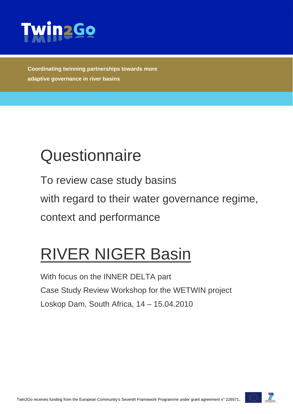

**Coordinating twinning partnerships towards more adaptive governance in river basins**

# **Questionnaire**

To review case study basins with regard to their water governance regime, context and performance

# RIVER NIGER Basin

With focus on the INNER DELTA part Case Study Review Workshop for the WETWIN project Loskop Dam, South Africa, 14 – 15.04.2010

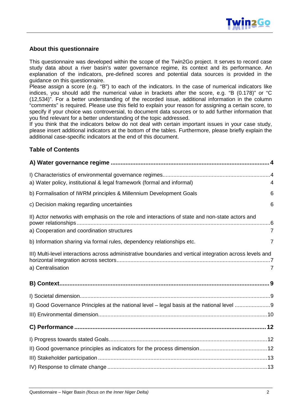

#### **About this questionnaire**

This questionnaire was developed within the scope of the Twin2Go project. It serves to record case study data about a river basin's water governance regime, its context and its performance. An explanation of the indicators, pre-defined scores and potential data sources is provided in the guidance on this questionnaire.

Please assign a score (e.g. "B") to each of the indicators. In the case of numerical indicators like indices, you should add the numerical value in brackets after the score, e.g. "B (0.178)" or "C (12,534)". For a better understanding of the recorded issue, additional information in the column "comments" is required. Please use this field to explain your reason for assigning a certain score, to specify if your choice was controversial, to document data sources or to add further information that you find relevant for a better understanding of the topic addressed.

If you think that the indicators below do not deal with certain important issues in your case study, please insert additional indicators at the bottom of the tables. Furthermore, please briefly explain the additional case-specific indicators at the end of this document.

#### **Table of Contents**

| a) Water policy, institutional & legal framework (formal and informal)                                                                        | 4              |
|-----------------------------------------------------------------------------------------------------------------------------------------------|----------------|
| b) Formalisation of IWRM principles & Millennium Development Goals                                                                            | 6              |
| c) Decision making regarding uncertainties                                                                                                    | 6              |
| II) Actor networks with emphasis on the role and interactions of state and non-state actors and<br>a) Cooperation and coordination structures | $\overline{7}$ |
| b) Information sharing via formal rules, dependency relationships etc.                                                                        | 7              |
| III) Multi-level interactions across administrative boundaries and vertical integration across levels and<br>a) Centralisation                | 7              |
|                                                                                                                                               |                |
|                                                                                                                                               |                |
| II) Good Governance Principles at the national level - legal basis at the national level 9                                                    |                |
|                                                                                                                                               |                |
|                                                                                                                                               |                |
|                                                                                                                                               |                |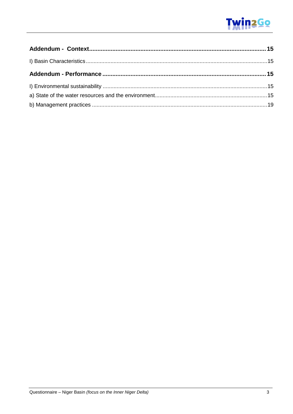# **Twin2Go**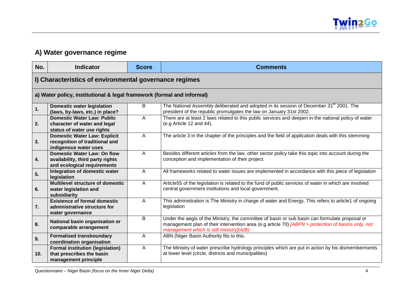

## **A) Water governance regime**

<span id="page-3-2"></span><span id="page-3-1"></span><span id="page-3-0"></span>

| No.             | <b>Indicator</b>                                                                                      | <b>Score</b> | <b>Comments</b>                                                                                                                                                                                                                                  |
|-----------------|-------------------------------------------------------------------------------------------------------|--------------|--------------------------------------------------------------------------------------------------------------------------------------------------------------------------------------------------------------------------------------------------|
|                 | I) Characteristics of environmental governance regimes                                                |              |                                                                                                                                                                                                                                                  |
|                 | a) Water policy, institutional & legal framework (formal and informal)                                |              |                                                                                                                                                                                                                                                  |
| 1.              | <b>Domestic water legislation</b><br>(laws, by-laws, etc.) in place?                                  | B            | The National Assembly deliberated and adopted in its session of December 31 <sup>st</sup> 2001. The<br>president of the republic promulgates the law on January 31st 2002.                                                                       |
| 2.              | <b>Domestic Water Law: Public</b><br>character of water and legal<br>status of water use rights       | A            | There are at least 2 laws related to this public services and deepen in the national policy of water<br>(e.g Article 12 and 44).                                                                                                                 |
| 3.              | <b>Domestic Water Law: Explicit</b><br>recognition of traditional and<br>indigenous water uses        | A            | The article 3 in the chapter of the principles and the field of application deals with this stemming                                                                                                                                             |
| 4.              | <b>Domestic Water Law: On flow</b><br>availability, third party rights<br>and ecological requirements | A            | Besides different articles from the law, other sector policy take this topic into account during the<br>conception and implementation of their project.                                                                                          |
| 5.              | Integration of domestic water<br>legislation                                                          | Α            | All frameworks related to water issues are implemented in accordance with this piece of legislation                                                                                                                                              |
| 6.              | <b>Multilevel structure of domestic</b><br>water legislation and<br>subsidiarity                      | A            | Article55 of the legislation is related to the fund of public services of water in which are involved<br>central government institutions and local government.                                                                                   |
| 7.              | <b>Existence of formal domestic</b><br>administrative structure for<br>water governance               | A            | This administration is The Ministry in charge of water and Energy. This refers to article1 of ongoing<br>legislation                                                                                                                             |
| 8.              | National basin organisation or<br>comparable arrangement                                              | B            | Under the aegis of the Ministry, the committee of basin or sub basin can formulate proposal or<br>management plan of their intervention area (e.g article 70) [ABFN > protection of basins only, not<br>management which is still ministry](A/B) |
| 9.              | <b>Formalised transboundary</b><br>coordination organisation                                          | A            | ABN (Niger Basin Authority fits to this.                                                                                                                                                                                                         |
| 10 <sub>1</sub> | <b>Formal institution (legislation)</b><br>that prescribes the basin<br>management principle          | A            | The Ministry of water prescribe hydrology principles which are put in action by his dismemberments<br>at lower level (circle, districts and municipalities)                                                                                      |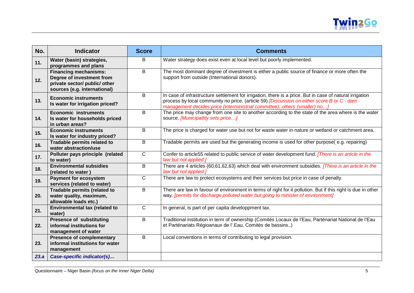

| No.  | <b>Indicator</b>                                                                                                           | <b>Score</b>   | <b>Comments</b>                                                                                                                                                                                                                                                                      |
|------|----------------------------------------------------------------------------------------------------------------------------|----------------|--------------------------------------------------------------------------------------------------------------------------------------------------------------------------------------------------------------------------------------------------------------------------------------|
| 11.  | Water (basin) strategies,<br>programmes and plans                                                                          | B              | Water strategy does exist even at local level but poorly implemented.                                                                                                                                                                                                                |
| 12.  | <b>Financing mechanisms:</b><br>Degree of investment from<br>private sector/ public/ other<br>sources (e.g. international) | $\overline{B}$ | The most dominant degree of investment is either a public source of finance or more often the<br>support from outside (International donors).                                                                                                                                        |
| 13.  | <b>Economic instruments</b><br>Is water for irrigation priced?                                                             | B              | In case of infrastructure settlement for irrigation, there is a price. But in case of natural irrigation<br>process by local community no price. (article 59) [Discussion on either score B or C - dam<br>management decides price (interministrial committee); others (smaller) no] |
| 14.  | <b>Economic instruments</b><br>Is water for households priced<br>in urban areas?                                           | B              | The price may change from one site to another according to the state of the area where is the water<br>source. [Municipatlity sets price]                                                                                                                                            |
| 15.  | <b>Economic instruments</b><br>Is water for industry priced?                                                               | B              | The price is charged for water use but not for waste water in nature or wetland or catchment area.                                                                                                                                                                                   |
| 16.  | Tradable permits related to<br>water abstraction/use                                                                       | B              | Tradable permits are used but the generating income is used for other purpose(e.g. repairing)                                                                                                                                                                                        |
| 17.  | Polluter pays principle (related<br>to water)                                                                              | $\mathsf{C}$   | Confer to article55 related to public service of water development fund. [There is an article in the<br>law but not applied.]                                                                                                                                                        |
| 18.  | <b>Environmental subsidies</b><br>(related to water)                                                                       | B              | There are 4 articles (60,61,62,63) which deal with environment subsidies. [There is an article in the<br>law but not applied.]                                                                                                                                                       |
| 19.  | <b>Payment for ecosystem</b><br>services (related to water)                                                                | $\overline{C}$ | There are law to protect ecosystems and their services but price in case of penalty.                                                                                                                                                                                                 |
| 20.  | Tradable permits (related to<br>water quality, maximum,<br>allowable loads etc.)                                           | B              | There are law in favour of environment in terms of right for it pollution. But if this right is due in other<br>way. [permits for discharge polluted water but going to minister of environment]                                                                                     |
| 21.  | Environmental tax (related to<br>water)                                                                                    | $\overline{C}$ | In general, is part of per capita developpment tax.                                                                                                                                                                                                                                  |
| 22.  | <b>Presence of substituting</b><br>informal institutions for<br>management of water                                        | B              | Traditional institution in term of ownership (Comités Locaux de l'Eau, Parténariat National de l'Eau<br>et Parténariats Régioanaux de l'.Eau, Comités de bassins)                                                                                                                    |
| 23.  | <b>Presence of complementary</b><br>informal institutions for water<br>management                                          | B              | Local conventions in terms of contributing to legal provision.                                                                                                                                                                                                                       |
| 23.a | Case-specific indicator(s)                                                                                                 |                |                                                                                                                                                                                                                                                                                      |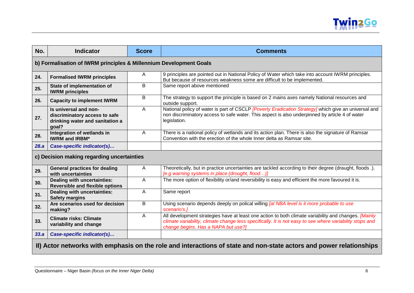

<span id="page-5-2"></span><span id="page-5-1"></span><span id="page-5-0"></span>

| No.  | <b>Indicator</b>                                                                                                    | <b>Score</b> | <b>Comments</b>                                                                                                                                                                                                                                         |  |
|------|---------------------------------------------------------------------------------------------------------------------|--------------|---------------------------------------------------------------------------------------------------------------------------------------------------------------------------------------------------------------------------------------------------------|--|
|      | b) Formalisation of IWRM principles & Millennium Development Goals                                                  |              |                                                                                                                                                                                                                                                         |  |
| 24.  | <b>Formalised IWRM principles</b>                                                                                   | Α            | 9 principles are pointed out in National Policy of Water which take into account IWRM principles.<br>But because of resources weakness some are difficult to be implemented.                                                                            |  |
| 25.  | State of implementation of<br><b>IWRM</b> principles                                                                | B            | Same report above mentioned                                                                                                                                                                                                                             |  |
| 26.  | <b>Capacity to implement IWRM</b>                                                                                   | B            | The strategy to support the principle is based on 2 mains axes namely National resources and<br>outside support.                                                                                                                                        |  |
| 27.  | Is universal and non-<br>discriminatory access to safe<br>drinking water and sanitation a<br>goal?                  | A            | National policy of water is part of CSCLP [Poverty Eradication Strategy] which give an universal and<br>non discriminatory access to safe water. This aspect is also underpinned by article 4 of water<br>legislation.                                  |  |
| 28.  | Integration of wetlands in<br><b>IWRM and IRBM*</b>                                                                 | A            | There is a national policy of wetlands and its action plan. There is also the signature of Ramsar<br>Convention with the erection of the whole Inner delta as Ramsar site.                                                                              |  |
| 28.a | Case-specific indicator(s)                                                                                          |              |                                                                                                                                                                                                                                                         |  |
|      | c) Decision making regarding uncertainties                                                                          |              |                                                                                                                                                                                                                                                         |  |
| 29.  | <b>General practices for dealing</b><br>with uncertainties                                                          | A            | Theoretically, but in practice uncertainties are tackled according to their degree (draught, floods .).<br>[e.g warning systems in place (drought, flood)]                                                                                              |  |
| 30.  | Dealing with uncertainties:<br><b>Reversible and flexible options</b>                                               | A            | The more option of flexibility or/and reversibility is easy and efficient the more favoured it is.                                                                                                                                                      |  |
| 31.  | Dealing with uncertainties:<br><b>Safety margins</b>                                                                | Α            | Same report                                                                                                                                                                                                                                             |  |
| 32.  | Are scenarios used for decision<br>making?                                                                          | B            | Using scenario depends deeply on polical willing <i>[at NBA level is it more probable to use</i><br>scenario's.]                                                                                                                                        |  |
| 33.  | <b>Climate risks: Climate</b><br>variability and change                                                             | Α            | All development strategies have at least one action to both climate variability and changes. [Mainly<br>climate variability, climate change less specifically. It is not easy to see where variability stops and<br>change begins. Has a NAPA but use?] |  |
| 33.a | Case-specific indicator(s)                                                                                          |              |                                                                                                                                                                                                                                                         |  |
|      | II) Actor networks with emphasis on the role and interactions of state and non-state actors and power relationships |              |                                                                                                                                                                                                                                                         |  |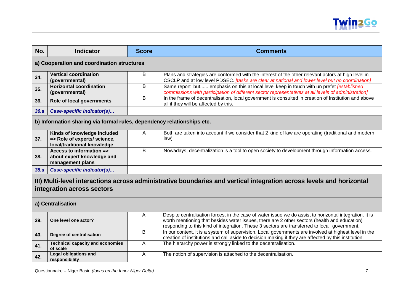

<span id="page-6-3"></span><span id="page-6-2"></span><span id="page-6-1"></span><span id="page-6-0"></span>

| No.  | <b>Indicator</b>                                                                                                                                   | <b>Score</b> | <b>Comments</b>                                                                                                                                                                                                                                                                                         |  |
|------|----------------------------------------------------------------------------------------------------------------------------------------------------|--------------|---------------------------------------------------------------------------------------------------------------------------------------------------------------------------------------------------------------------------------------------------------------------------------------------------------|--|
|      | a) Cooperation and coordination structures                                                                                                         |              |                                                                                                                                                                                                                                                                                                         |  |
| 34.  | <b>Vertical coordination</b><br>(governmental)                                                                                                     | B            | Plans and strategies are conformed with the interest of the other relevant actors at high level in<br>CSCLP and at low level PDSEC. [tasks are clear at national and lower level but no coordination]                                                                                                   |  |
| 35.  | <b>Horizontal coordination</b><br>(governmental)                                                                                                   | B            | Same report but; emphasis on this at local level keep in touch with un prefet [established<br>commissions with participation of different sector representatives at all levels of administration]                                                                                                       |  |
| 36.  | Role of local governments                                                                                                                          | B            | In the frame of decentralisation, local government is consulted in creation of Institution and above<br>all if they will be affected by this.                                                                                                                                                           |  |
| 36.a | Case-specific indicator(s)                                                                                                                         |              |                                                                                                                                                                                                                                                                                                         |  |
|      | b) Information sharing via formal rules, dependency relationships etc.                                                                             |              |                                                                                                                                                                                                                                                                                                         |  |
| 37.  | Kinds of knowledge included<br>=> Role of experts/ science,<br>local/traditional knowledge                                                         | A            | Both are taken into account if we consider that 2 kind of law are operating (traditional and modern<br>law)                                                                                                                                                                                             |  |
| 38.  | Access to information =><br>about expert knowledge and<br>management plans                                                                         | B            | Nowadays, decentralization is a tool to open society to development through information access.                                                                                                                                                                                                         |  |
| 38.a | Case-specific indicator(s)                                                                                                                         |              |                                                                                                                                                                                                                                                                                                         |  |
|      | III) Multi-level interactions across administrative boundaries and vertical integration across levels and horizontal<br>integration across sectors |              |                                                                                                                                                                                                                                                                                                         |  |
|      | a) Centralisation                                                                                                                                  |              |                                                                                                                                                                                                                                                                                                         |  |
| 39.  | One level one actor?                                                                                                                               | A            | Despite centralisation forces, in the case of water issue we do assist to horizontal integration. It is<br>worth mentioning that besides water issues, there are 2 other sectors (health and education)<br>responding to this kind of integration. These 3 sectors are transferred to local government. |  |
| 40.  | Degree of centralisation                                                                                                                           | B            | In our context, it is a system of supervision. Local governments are involved at highest level in the<br>creation of institutions and call aside to decision making if they are affected by this institution.                                                                                           |  |
| 41.  | <b>Technical capacity and economies</b><br>of scale                                                                                                | A            | The hierarchy power is strongly linked to the decentralisation.                                                                                                                                                                                                                                         |  |
| 42.  | <b>Legal obligations and</b><br>responsibility                                                                                                     | A            | The notion of supervision is attached to the decentralisation.                                                                                                                                                                                                                                          |  |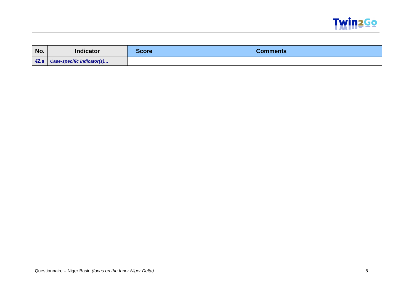

| No. | <b>Indicator</b>                  | <b>Score</b> | Comments |
|-----|-----------------------------------|--------------|----------|
|     | 42.a   Case-specific indicator(s) |              |          |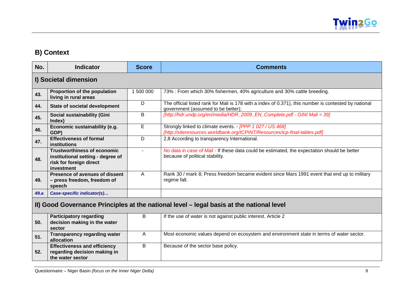

# **B) Context**

<span id="page-8-2"></span><span id="page-8-1"></span><span id="page-8-0"></span>

| No.  | <b>Indicator</b>                                                                                                 | <b>Score</b> | <b>Comments</b>                                                                                                                             |
|------|------------------------------------------------------------------------------------------------------------------|--------------|---------------------------------------------------------------------------------------------------------------------------------------------|
|      | I) Societal dimension                                                                                            |              |                                                                                                                                             |
| 43.  | Proportion of the population<br>living in rural areas                                                            | 1 500 000    | 73% : From which 30% fishermen, 40% agriculture and 30% cattle breeding.                                                                    |
| 44.  | <b>State of societal development</b>                                                                             | D            | The official listed rank for Mali is 178 with a index of 0.371), this number is contested by national<br>government (assumed to be better); |
| 45.  | <b>Social sustainability (Gini</b><br>Index)                                                                     | B            | [http://hdr.undp.org/en/media/HDR 2009 EN Complete.pdf - GINI Mali = 39]                                                                    |
| 46.  | Economic sustainability (e.g.<br>GDP)                                                                            | E            | Strongly linked to climate events. - [PPP 1 027 / US 468]<br>[http://siteresources.worldbank.org/ICPINT/Resources/icp-final-tables.pdf]     |
| 47.  | <b>Effectiveness of formal</b><br>institutions                                                                   | D            | 2,8 According to transparency International.                                                                                                |
| 48.  | <b>Trustworthiness of economic</b><br>institutional setting - degree of<br>risk for foreign direct<br>investment |              | No data in case of Mali - If these data could be estimated, the expectation should be better<br>because of political stability.             |
| 49.  | Presence of avenues of dissent<br>- press freedom, freedom of<br>speech                                          | A            | Rank 30 / mark 8; Press freedom became evident since Mars 1991 event that end up to military<br>regime fall.                                |
| 49.a | Case-specific indicator(s)                                                                                       |              |                                                                                                                                             |
|      |                                                                                                                  |              | II) Good Governance Principles at the national level - legal basis at the national level                                                    |
| 50.  | <b>Participatory regarding</b><br>decision making in the water<br>sector                                         | В            | If the use of water is not against public interest. Article 2                                                                               |
| 51.  | <b>Transparency regarding water</b><br>allocation                                                                | A            | Most economic values depend on ecosystem and environment state in terms of water sector.                                                    |
| 52.  | <b>Effectiveness and efficiency</b><br>regarding decision making in<br>the water sector                          | В            | Because of the sector base policy.                                                                                                          |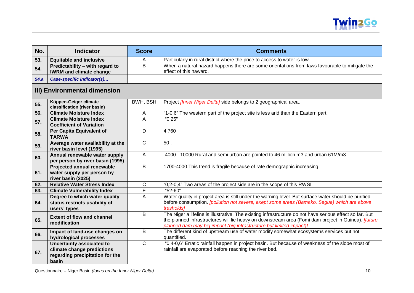

| No.  | <b>Indicator</b>                                                                                           | <b>Score</b>   | <b>Comments</b>                                                                                                                                                                                                                                                                               |
|------|------------------------------------------------------------------------------------------------------------|----------------|-----------------------------------------------------------------------------------------------------------------------------------------------------------------------------------------------------------------------------------------------------------------------------------------------|
| 53.  | <b>Equitable and inclusive</b>                                                                             | A              | Particularly in rural district where the price to access to water is low.                                                                                                                                                                                                                     |
| 54.  | Predictability - with regard to<br><b>IWRM and climate change</b>                                          | B              | When a natural hazard happens there are some orientations from laws favourable to mitigate the<br>effect of this haward.                                                                                                                                                                      |
| 54.a | Case-specific indicator(s)                                                                                 |                |                                                                                                                                                                                                                                                                                               |
|      | III) Environmental dimension                                                                               |                |                                                                                                                                                                                                                                                                                               |
| 55.  | Köppen-Geiger climate<br>classification (river basin)                                                      | BWH, BSH       | Project <i>[Inner Niger Delta]</i> side belongs to 2 geographical area.                                                                                                                                                                                                                       |
| 56.  | <b>Climate Moisture Index</b>                                                                              | A              | "1-0,6" The western part of the project site is less arid than the Eastern part.                                                                                                                                                                                                              |
| 57.  | <b>Climate Moisture Index</b><br><b>Coefficient of Variation</b>                                           | A              | "0,25"                                                                                                                                                                                                                                                                                        |
| 58.  | Per Capita Equivalent of<br><b>TARWA</b>                                                                   | D              | 4760                                                                                                                                                                                                                                                                                          |
| 59.  | Average water availability at the<br>river basin level (1995)                                              | $\mathsf{C}$   | $50.$                                                                                                                                                                                                                                                                                         |
| 60.  | Annual renewable water supply<br>per person by river basin (1995)                                          | $\overline{A}$ | 4000 - 10000 Rural and semi urban are pointed to 46 million m3 and urban 61M/m3                                                                                                                                                                                                               |
| 61.  | <b>Projected annual renewable</b><br>water supply per person by<br>river basin (2025)                      | B              | 1700-4000 This trend is fragile because of rate demographic increasing.                                                                                                                                                                                                                       |
| 62.  | <b>Relative Water Stress Index</b>                                                                         | $\mathsf{C}$   | "0,2-0,4" Two areas of the project side are in the scope of this RWSI                                                                                                                                                                                                                         |
| 63.  | <b>Climate Vulnerability Index</b>                                                                         | $\overline{E}$ | "52-60"                                                                                                                                                                                                                                                                                       |
| 64.  | Degree to which water quality<br>status restricts usability of<br>users' types                             | A              | Water quality in project area is still under the warning level. But surface water should be purified<br>before consumption. [pollution not severe, exept some areas (Bamako, Segue) which are above<br>tresholds]                                                                             |
| 65.  | <b>Extent of flow and channel</b><br>modification                                                          | B              | The Niger a lifeline is illustrative. The existing infrastructure do not have serious effect so far. But<br>the planned infrastructures will lie heavy on downstream area (Fomi dam project in Guinea). <i>[future</i><br>planned dam may big impact (big infrastructure but limited impact)] |
| 66.  | Impact of land-use changes on<br>hydrological processes                                                    | B              | The different kind of upstream use of water modify somewhat ecosystems services but not<br>quantified.                                                                                                                                                                                        |
| 67.  | <b>Uncertainty associated to</b><br>climate change predictions<br>regarding precipitation for the<br>basin | $\mathsf{C}$   | "0,4-0,6" Erratic rainfall happen in project basin. But because of weakness of the slope most of<br>rainfall are evaporated before reaching the river bed.                                                                                                                                    |

<span id="page-9-0"></span>Questionnaire – Niger Basin *(focus on the Inner Niger Delta)* 10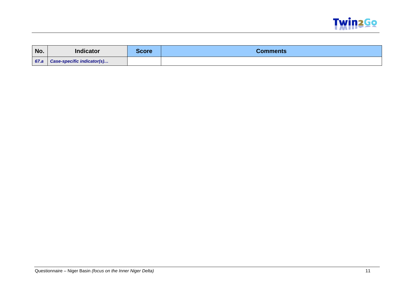

| No.  | <b>Indicator</b>                  | <b>Score</b> | <b>Comments</b> |
|------|-----------------------------------|--------------|-----------------|
| 67.a | <b>Case-specific indicator(s)</b> |              |                 |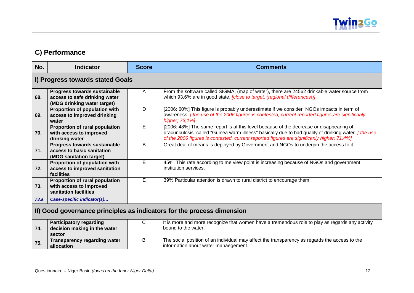

## **C) Performance**

<span id="page-11-2"></span><span id="page-11-1"></span><span id="page-11-0"></span>

| No.  | <b>Indicator</b>                                                                                    | <b>Score</b> | <b>Comments</b>                                                                                                                                                                                                                                                                                     |  |
|------|-----------------------------------------------------------------------------------------------------|--------------|-----------------------------------------------------------------------------------------------------------------------------------------------------------------------------------------------------------------------------------------------------------------------------------------------------|--|
|      | I) Progress towards stated Goals                                                                    |              |                                                                                                                                                                                                                                                                                                     |  |
| 68.  | <b>Progress towards sustainable</b><br>access to safe drinking water<br>(MDG drinking water target) | A            | From the software called SIGMA, (map of water), there are 24562 drinkable water source from<br>which 93,6% are in good state. <i>[close to target, (regional differences!)]</i>                                                                                                                     |  |
| 69.  | Proportion of population with<br>access to improved drinking<br>water                               | D            | [2006: 60%] This figure is probably underestimate if we consider NGOs impacts in term of<br>awareness. [the use of the 2006 figures is contested, current reported figures are significanly<br>higher; 73,1%]                                                                                       |  |
| 70.  | Proportion of rural population<br>with access to improved<br>drinking water                         | E            | [2006: 48%] The same report is at this level because of the decrease or disappearing of<br>dracunculosis called "Guinea warm illness" basically due to bad quality of drinking water. <i>[the use</i><br>of the 2006 figures is contested, current reported figures are significanly higher; 71,4%] |  |
| 71.  | <b>Progress towards sustainable</b><br>access to basic sanitation<br>(MDG sanitation target)        | B            | Great deal of means is deployed by Government and NGOs to underpin the access to it.                                                                                                                                                                                                                |  |
| 72.  | Proportion of population with<br>access to improved sanitation<br>facilities                        | E            | 45% This rate according to me view point is increasing because of NGOs and government<br>institution services.                                                                                                                                                                                      |  |
| 73.  | Proportion of rural population<br>with access to improved<br>sanitation facilities                  | E            | 39% Particular attention is drawn to rural district to encourage them.                                                                                                                                                                                                                              |  |
| 73.a | Case-specific indicator(s)                                                                          |              |                                                                                                                                                                                                                                                                                                     |  |
|      | II) Good governance principles as indicators for the process dimension                              |              |                                                                                                                                                                                                                                                                                                     |  |
| 74.  | <b>Participatory regarding</b><br>decision making in the water<br>sector                            | C            | It is more and more recognize that women have a tremendous role to play as regards any activity<br>bound to the water.                                                                                                                                                                              |  |
| 75.  | <b>Transparency regarding water</b><br>allocation                                                   | B            | The social position of an individual may affect the transparency as regards the access to the<br>information about water manaegement.                                                                                                                                                               |  |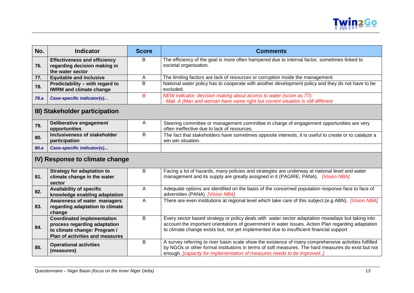

| No.         | Indicator                                                           | <b>Score</b> | <b>Comments</b>                                                                                                                                          |
|-------------|---------------------------------------------------------------------|--------------|----------------------------------------------------------------------------------------------------------------------------------------------------------|
| 76.         | <b>Effectiveness and efficiency</b><br>regarding decision making in | B.           | The efficiency of the goal is more often hampered due to internal factor, sometimes linked to<br>societal organisation.                                  |
|             | the water sector                                                    |              |                                                                                                                                                          |
| 77.         | <b>Equitable and inclusive</b>                                      |              | The limiting factors are lack of resources or corruption inside the management.                                                                          |
| 78.         | Predictability - with regard to<br><b>IWRM and climate change</b>   | B            | National water policy has to cooperate with another development policy and they do not have to be<br>excluded.                                           |
| <b>78.a</b> | Case-specific indicator(s)                                          | R            | NEW indicator; decision making about access to water (score as 77):<br>- Mali: A (Man and woman have same right but corrent situation is still different |

## **III) Stakeholder participation**

| 79.  | Deliberative engagement<br>opportunities      | Steering committee or management committee in charge of engagement opportunities are very<br>often ineffective due to lack of resources. |
|------|-----------------------------------------------|------------------------------------------------------------------------------------------------------------------------------------------|
| 80.  | Inclusiveness of stakeholder<br>participation | The fact that stakeholders have sometimes opposite interests, it is useful to create or to catalyze a<br>win win situation.              |
| 80.a | Case-specific indicator(s)                    |                                                                                                                                          |

# **IV) Response to climate change**

<span id="page-12-1"></span><span id="page-12-0"></span>

|     | <b>Strategy for adaptation to</b> | В | Facing a lot of hazards, many policies and strategies are underway at national level and water        |
|-----|-----------------------------------|---|-------------------------------------------------------------------------------------------------------|
| 81. | climate change in the water       |   | management and its supply are greatly assigned in it (PAGIRE, PANA). [Vision NBA]                     |
|     |                                   |   |                                                                                                       |
|     | sector                            |   |                                                                                                       |
| 82. | <b>Availability of specific</b>   | А | Adequate options are identified on the basis of the concerned population response face to face of     |
|     | knowledge enabling adaptation     |   | adversities (PANA) [Vision NBA]                                                                       |
|     | Awareness of water managers       | А | There are even institutions at regional level which take care of this subject (e.g ABN). [Vision NBA] |
| 83. | regarding adaptation to climate   |   |                                                                                                       |
|     | change                            |   |                                                                                                       |
|     | <b>Coordinated implementation</b> | В | Every sector based strategy or policy deals with water sector adaptation nowadays but taking into     |
| 84. | process regarding adaptation      |   | account the important orientations of government in water issues. Action Plan regarding adaptation    |
|     | to climate change: Program /      |   | to climate change exists but, not yet implemented due to insufficient financial support               |
|     | Plan of activities and measures   |   |                                                                                                       |
| 85. | <b>Operational activities</b>     | В | A survey referring to river basin scale show the existence of many comprehensive activities fulfilled |
|     |                                   |   | by NGOs or other formal institutions in terms of soft measures. The hard measures do exist but not    |
|     | (measures)                        |   | enough. [capacity for implementation of measures needs to be improved]                                |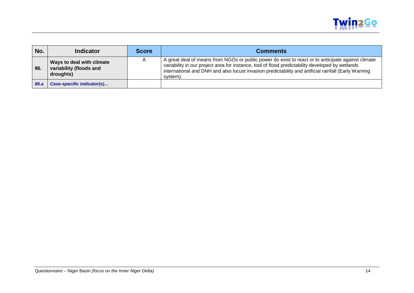

| No.  | <b>Indicator</b>                                                  | <b>Score</b> | <b>Comments</b>                                                                                                                                                                                                                                                                                                            |
|------|-------------------------------------------------------------------|--------------|----------------------------------------------------------------------------------------------------------------------------------------------------------------------------------------------------------------------------------------------------------------------------------------------------------------------------|
| 86.  | Ways to deal with climate<br>variability (floods and<br>droughts) |              | A great deal of means from NGOs or public power do exist to react or to anticipate against climate<br>variability in our project area for instance, tool of flood predictability developed by wetlands<br>international and DNH and also locust invasion predictability and artificial rainfall (Early Warning<br>system). |
| 86.a | Case-specific indicator(s)                                        |              |                                                                                                                                                                                                                                                                                                                            |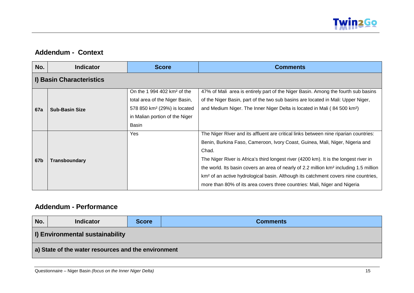

#### **Addendum - Context**

| No.        | <b>Indicator</b>         | <b>Score</b>                                                                                                                                  | <b>Comments</b>                                                                                                                                                                                                                                                                                                                                                                                                                                                                                                                                             |  |  |  |  |  |  |
|------------|--------------------------|-----------------------------------------------------------------------------------------------------------------------------------------------|-------------------------------------------------------------------------------------------------------------------------------------------------------------------------------------------------------------------------------------------------------------------------------------------------------------------------------------------------------------------------------------------------------------------------------------------------------------------------------------------------------------------------------------------------------------|--|--|--|--|--|--|
|            | I) Basin Characteristics |                                                                                                                                               |                                                                                                                                                                                                                                                                                                                                                                                                                                                                                                                                                             |  |  |  |  |  |  |
| <b>67a</b> | <b>Sub-Basin Size</b>    | On the 1 994 402 $km2$ of the<br>total area of the Niger Basin,<br>578 850 km <sup>2</sup> (29%) is located<br>in Malian portion of the Niger | 47% of Mali area is entirely part of the Niger Basin. Among the fourth sub basins<br>of the Niger Basin, part of the two sub basins are located in Mali: Upper Niger,<br>and Medium Niger. The Inner Niger Delta is located in Mali (84 500 km <sup>2</sup> )                                                                                                                                                                                                                                                                                               |  |  |  |  |  |  |
| 67b        | <b>Transboundary</b>     | Basin<br>Yes                                                                                                                                  | The Niger River and its affluent are critical links between nine riparian countries:<br>Benin, Burkina Faso, Cameroon, Ivory Coast, Guinea, Mali, Niger, Nigeria and<br>Chad.<br>The Niger River is Africa's third longest river (4200 km). It is the longest river in<br>the world. Its basin covers an area of nearly of 2.2 million km <sup>2</sup> including 1.5 million<br>km <sup>2</sup> of an active hydrological basin. Although its catchment covers nine countries,<br>more than 80% of its area covers three countries: Mali, Niger and Nigeria |  |  |  |  |  |  |

#### <span id="page-14-1"></span><span id="page-14-0"></span>**Addendum - Performance**

<span id="page-14-4"></span><span id="page-14-3"></span><span id="page-14-2"></span>

| No.                                                 | <b>Indicator</b>                       | <b>Score</b> | <b>Comments</b> |  |  |
|-----------------------------------------------------|----------------------------------------|--------------|-----------------|--|--|
|                                                     | <b>I) Environmental sustainability</b> |              |                 |  |  |
| a) State of the water resources and the environment |                                        |              |                 |  |  |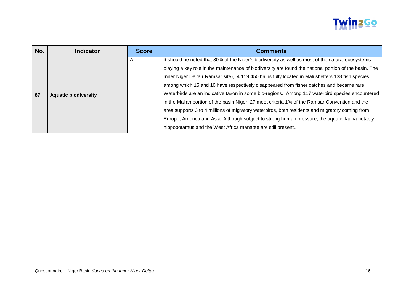

| No. | <b>Indicator</b>            | <b>Score</b>   | <b>Comments</b>                                                                                        |
|-----|-----------------------------|----------------|--------------------------------------------------------------------------------------------------------|
|     | <b>Aquatic biodiversity</b> | $\overline{A}$ | It should be noted that 80% of the Niger's biodiversity as well as most of the natural ecosystems      |
|     |                             |                | playing a key role in the maintenance of biodiversity are found the national portion of the basin. The |
|     |                             |                | Inner Niger Delta (Ramsar site), 4 119 450 ha, is fully located in Mali shelters 138 fish species      |
|     |                             |                | among which 15 and 10 have respectively disappeared from fisher catches and became rare.               |
| 87  |                             |                | Waterbirds are an indicative taxon in some bio-regions. Among 117 waterbird species encountered        |
|     |                             |                | in the Malian portion of the basin Niger, 27 meet criteria 1% of the Ramsar Convention and the         |
|     |                             |                | area supports 3 to 4 millions of migratory waterbirds, both residents and migratory coming from        |
|     |                             |                | Europe, America and Asia. Although subject to strong human pressure, the aquatic fauna notably         |
|     |                             |                | hippopotamus and the West Africa manatee are still present                                             |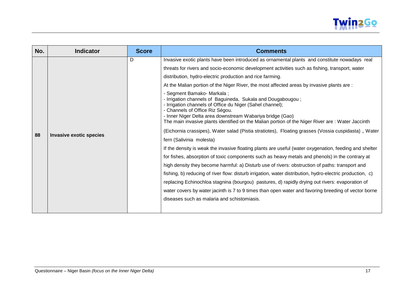

| No. | <b>Indicator</b>               | <b>Score</b> | <b>Comments</b>                                                                                                                                                                                                                                                                                                                                                                                                                                                                                                                                                                                                                                                                                                                                                                                                                                                                                                                                                                                                                                                                                                                                                                                                                                                                                                                                                                                                                                                                                                                                   |
|-----|--------------------------------|--------------|---------------------------------------------------------------------------------------------------------------------------------------------------------------------------------------------------------------------------------------------------------------------------------------------------------------------------------------------------------------------------------------------------------------------------------------------------------------------------------------------------------------------------------------------------------------------------------------------------------------------------------------------------------------------------------------------------------------------------------------------------------------------------------------------------------------------------------------------------------------------------------------------------------------------------------------------------------------------------------------------------------------------------------------------------------------------------------------------------------------------------------------------------------------------------------------------------------------------------------------------------------------------------------------------------------------------------------------------------------------------------------------------------------------------------------------------------------------------------------------------------------------------------------------------------|
| 88  | <b>Invasive exotic species</b> | D            | Invasive exotic plants have been introduced as ornamental plants and constitute nowadays real<br>threats for rivers and socio-economic development activities such as fishing, transport, water<br>distribution, hydro-electric production and rice farming.<br>At the Malian portion of the Niger River, the most affected areas by invasive plants are :<br>- Segment Bamako- Markala;<br>- Irrigation channels of Baguineda, Sukala and Dougabougou;<br>- Irrigation channels of Office du Niger (Sahel channel);<br>- Channels of Office Riz Ségou.<br>- Inner Niger Delta area downstream Wabariya bridge (Gao)<br>The main invasive plants identified on the Malian portion of the Niger River are: Water Jaccinth<br>(Eichornia crassipes), Water salad (Pistia stratiotes), Floating grasses (Vossia cuspidasta), Water<br>fern (Salivinia molesta)<br>If the density is weak the invasive floating plants are useful (water oxygenation, feeding and shelter<br>for fishes, absorption of toxic components such as heavy metals and phenols) in the contrary at<br>high density they become harmful: a) Disturb use of rivers: obstruction of paths: transport and<br>fishing, b) reducing of river flow: disturb irrigation, water distribution, hydro-electric production, c)<br>replacing Echinochloa stagnina (bourgou) pastures, d) rapidly drying out rivers: evaporation of<br>water covers by water jacinth is 7 to 9 times than open water and favoring breeding of vector borne<br>diseases such as malaria and schistomiasis. |
|     |                                |              |                                                                                                                                                                                                                                                                                                                                                                                                                                                                                                                                                                                                                                                                                                                                                                                                                                                                                                                                                                                                                                                                                                                                                                                                                                                                                                                                                                                                                                                                                                                                                   |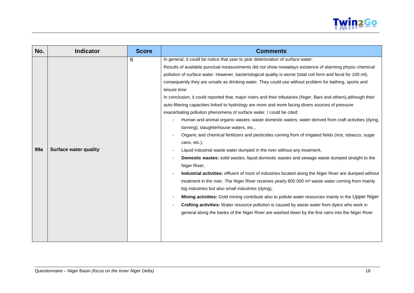

| No.        | <b>Indicator</b>             | <b>Score</b> | <b>Comments</b>                                                                                                                                                                                                                                                                                                                                                                                                                                                                                                                                                                                                                                                                                                                                                                                                                                                                                                                                                                                                                                                                                                                                                                                                                                                                                                                                                                                                                                                                                                                                                                                                                                                                                                                                                                                               |
|------------|------------------------------|--------------|---------------------------------------------------------------------------------------------------------------------------------------------------------------------------------------------------------------------------------------------------------------------------------------------------------------------------------------------------------------------------------------------------------------------------------------------------------------------------------------------------------------------------------------------------------------------------------------------------------------------------------------------------------------------------------------------------------------------------------------------------------------------------------------------------------------------------------------------------------------------------------------------------------------------------------------------------------------------------------------------------------------------------------------------------------------------------------------------------------------------------------------------------------------------------------------------------------------------------------------------------------------------------------------------------------------------------------------------------------------------------------------------------------------------------------------------------------------------------------------------------------------------------------------------------------------------------------------------------------------------------------------------------------------------------------------------------------------------------------------------------------------------------------------------------------------|
| <b>89a</b> | <b>Surface water quality</b> | B            | In general, it could be notice that year to year deterioration of surface water.<br>Results of available punctual measurements did not show nowadays existence of alarming physic-chemical<br>pollution of surface water. However, bacteriological quality is worse (total coli form and fecal for 100 ml),<br>consequently they are unsafe as drinking water. They could use without problem for bathing, sports and<br>leisure time<br>In conclusion, it could reported that, major rivers and their tributaries (Niger, Bani and others), although their<br>auto-filtering capacities linked to hydrology are more and more facing divers sources of pressure<br>exacerbating pollution phenomena of surface water. I could be cited:<br>Human and animal organic wastes: waste domestic waters; water derived from craft activities (dying,<br>tanning); slaughterhouse waters, etc.,<br>Organic and chemical fertilizers and pesticides coming from of irrigated fields (rice, tobacco, sugar<br>cans, etc.),<br>Liquid industrial waste water dumped in the river without any treatment,<br>Domestic wastes: solid wastes, liquid domestic wastes and sewage waste dumped straight to the<br>Niger River,<br>Industrial activities: effluent of most of industries located along the Niger River are dumped without<br>treatment in the river. The Niger River receives yearly 800 000 m <sup>3</sup> waste water coming from mainly<br>big industries but also small industries (dying),<br>Mining activities: Gold mining contribute also to pollute water resources mainly in the Upper Niger<br>Crafting activities: Water resource pollution is caused by waste water from dyers who work in<br>general along the banks of the Niger River are washed down by the first rains into the Niger River |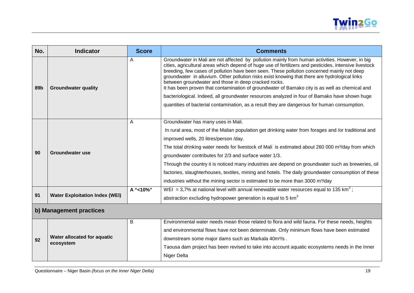

| No.             | <b>Indicator</b>                      | <b>Score</b> | <b>Comments</b>                                                                                                                                                                                                                                                                                                                                                                                                                                                                                                                                                     |  |
|-----------------|---------------------------------------|--------------|---------------------------------------------------------------------------------------------------------------------------------------------------------------------------------------------------------------------------------------------------------------------------------------------------------------------------------------------------------------------------------------------------------------------------------------------------------------------------------------------------------------------------------------------------------------------|--|
| 89 <sub>b</sub> | <b>Groundwater quality</b>            | A            | Groundwater in Mali are not affected by pollution mainly from human activities. However, in big<br>cities, agricultural areas which depend of huge use of fertilizers and pesticides, intensive livestock<br>breeding, few cases of pollution have been seen. These pollution concerned mainly not deep<br>groundwater in alluvium. Other pollution risks exist knowing that there are hydrological links<br>between groundwater and those in deep cracked rocks.<br>It has been proven that contamination of groundwater of Bamako city is as well as chemical and |  |
|                 |                                       |              | bacteriological. Indeed, all groundwater resources analyzed in four of Bamako have shown huge<br>quantities of bacterial contamination, as a result they are dangerous for human consumption.                                                                                                                                                                                                                                                                                                                                                                       |  |
|                 |                                       | A            | Groundwater has many uses in Mali.                                                                                                                                                                                                                                                                                                                                                                                                                                                                                                                                  |  |
|                 |                                       |              | In rural area, most of the Malian population get drinking water from forages and /or traditional and                                                                                                                                                                                                                                                                                                                                                                                                                                                                |  |
|                 |                                       |              | improved wells, 20 litres/person /day.                                                                                                                                                                                                                                                                                                                                                                                                                                                                                                                              |  |
|                 | Groundwater use                       |              | The total drinking water needs for livestock of Mali is estimated about 260 000 m <sup>3</sup> /day from which                                                                                                                                                                                                                                                                                                                                                                                                                                                      |  |
| 90              |                                       |              | groundwater contributes for 2/3 and surface water 1/3.                                                                                                                                                                                                                                                                                                                                                                                                                                                                                                              |  |
|                 |                                       |              | Through the country it is noticed many industries are depend on groundwater such as breweries, oil                                                                                                                                                                                                                                                                                                                                                                                                                                                                  |  |
|                 |                                       |              | factories, slaughterhouses, textiles, mining and hotels. The daily groundwater consumption of these                                                                                                                                                                                                                                                                                                                                                                                                                                                                 |  |
|                 |                                       |              | industries without the mining sector is estimated to be more than 3000 m <sup>3</sup> /day                                                                                                                                                                                                                                                                                                                                                                                                                                                                          |  |
|                 |                                       | A "<10%"     | WEI = 3,7% at national level with annual renewable water resources equal to 135 km <sup>3</sup> ;                                                                                                                                                                                                                                                                                                                                                                                                                                                                   |  |
| 91              | <b>Water Exploitation Index (WEI)</b> |              | abstraction excluding hydropower generation is equal to 5 $km3$                                                                                                                                                                                                                                                                                                                                                                                                                                                                                                     |  |
|                 | b) Management practices               |              |                                                                                                                                                                                                                                                                                                                                                                                                                                                                                                                                                                     |  |

#### <span id="page-18-0"></span>**<sup>92</sup> Water allocated for aquatic ecosystem** B Environmental water needs mean those related to flora and wild fauna. For these needs, heights and environmental flows have not been determinate. Only minimum flows have been estimated downstream some major dams such as Markala 40m<sup>3</sup>/s. Taousa dam project has been revised to take into account aquatic ecosystems needs in the Inner Niger Delta